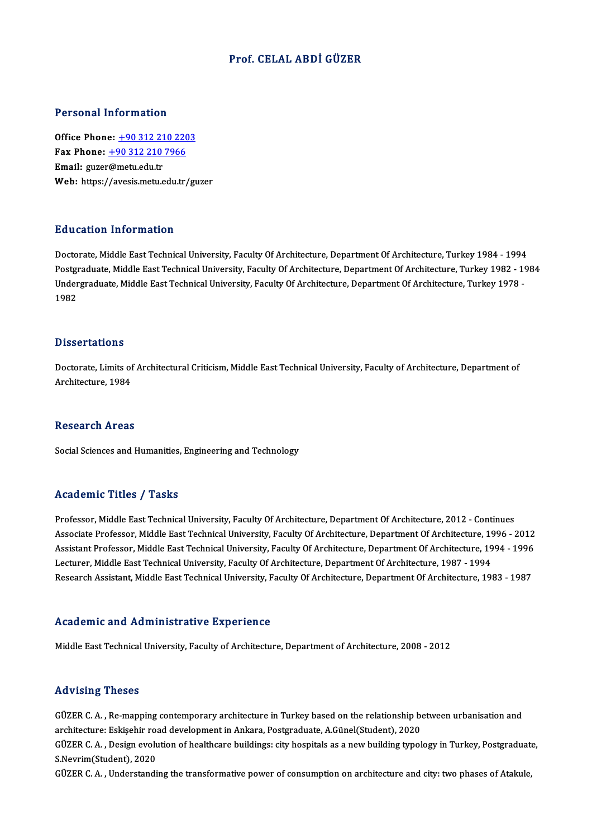# Prof. CELAL ABDİ GÜZER

### Personal Information

Office Phone: +90 312 210 2203 Terestian Information<br>Office Phone: <u>+90 312 210 220</u><br>Fax Phone: <u>+90 312 210 7966</u> Office Phone: <u>+90 312 21</u><br>Fax Phone: <u>+90 312 210</u><br>Email: guzer[@metu.edu.tr](tel:+90 312 210 7966) Email: guzer@metu.edu.tr<br>Web: https://avesis.metu.edu.tr/guzer

## Education Information

Education Information<br>Doctorate, Middle East Technical University, Faculty Of Architecture, Department Of Architecture, Turkey 1984 - 1994<br>Postsraduate Middle East Technical University, Faculty Of Architecture, Department Pu a cacron Timot inacron<br>Doctorate, Middle East Technical University, Faculty Of Architecture, Department Of Architecture, Turkey 1984 - 1994<br>Postgraduate, Middle East Technical University, Faculty Of Architecture, Depart Doctorate, Middle East Technical University, Faculty Of Architecture, Department Of Architecture, Turkey 1984 - 1994<br>1991 - Postgraduate, Middle East Technical University, Faculty Of Architecture, Department Of Architectur Postgı<br>Under<br>1982 1982<br>Dissertations

Dissertations<br>Doctorate, Limits of Architectural Criticism, Middle East Technical University, Faculty of Architecture, Department of<br>Architecture, 1984 2 1990 : decreme<br>Doctorate, Limits of<br>Architecture, 1984 Architecture, 1984<br>Research Areas

Social Sciences and Humanities, Engineering and Technology

## Academic Titles / Tasks

Professor, Middle East Technical University, Faculty Of Architecture, Department Of Architecture, 2012 - Continues Associate Professor, Middle East Technical University, Faculty Of Architecture, Department Of Architecture, 1996 - 2012 Professor, Middle East Technical University, Faculty Of Architecture, Department Of Architecture, 2012 - Continues<br>Associate Professor, Middle East Technical University, Faculty Of Architecture, Department Of Architecture, Associate Professor, Middle East Technical University, Faculty Of Architecture, Department Of Architecture, 19<br>Assistant Professor, Middle East Technical University, Faculty Of Architecture, Department Of Architecture, 19<br> Assistant Professor, Middle East Technical University, Faculty Of Architecture, Department Of Architecture, 1994 - 1996<br>Lecturer, Middle East Technical University, Faculty Of Architecture, Department Of Architecture, 1987 Research Assistant, Middle East Technical University, Faculty Of Architecture, Department Of Architecture, 1983 - 1987<br>Academic and Administrative Experience

Middle East Technical University, Faculty of Architecture, Department of Architecture, 2008 - 2012

### Advising Theses

Advising Theses<br>GÜZER C. A. , Re-mapping contemporary architecture in Turkey based on the relationship between urbanisation and<br>architecture: Eskischir reed development in Arkara Pestsreduste A Cünel(Student), 2020. raa vasing in 1999<br>GÜZER C. A. , Re-mapping contemporary architecture in Turkey based on the relationship be<br>architecture: Eskişehir road development in Ankara, Postgraduate, A.Günel(Student), 2020<br>CÜZER C. A. "Design evel GÜZER C. A. , Re-mapping contemporary architecture in Turkey based on the relationship between urbanisation and<br>architecture: Eskişehir road development in Ankara, Postgraduate, A.Günel(Student), 2020<br>GÜZER C. A. , Design

architecture: Eskişehir roa<br>GÜZER C. A. , Design evolu<br>S.Nevrim(Student), 2020<br>GÜZER C. A. , Understandi GÜZER C. A. , Design evolution of healthcare buildings: city hospitals as a new building typology in Turkey, Postgraduat<br>S.Nevrim(Student), 2020<br>GÜZER C. A. , Understanding the transformative power of consumption on archit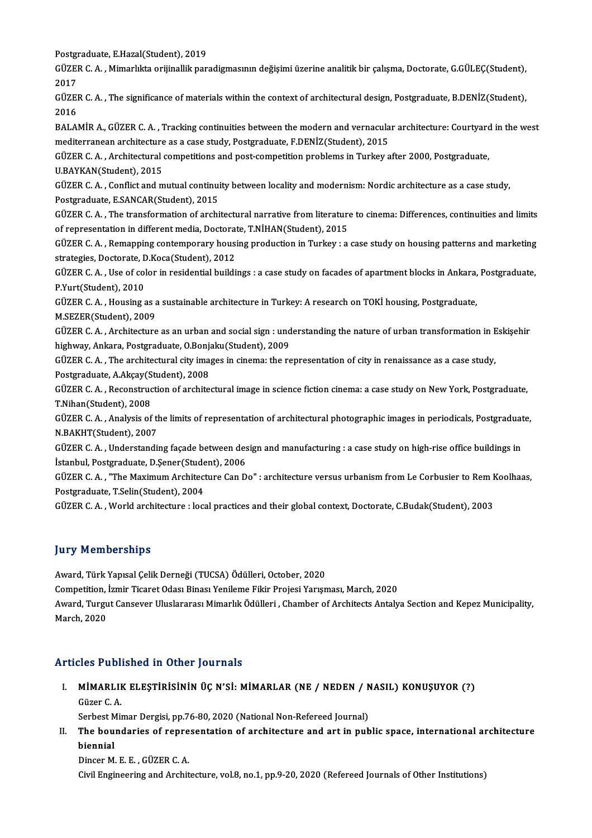Postgraduate, E.Hazal(Student), 2019<br>CÜZEP C.A., Mimarlıkta enijinallık par

GÜZER C. A. , Mimarlıkta orijinallik paradigmasının değişimi üzerine analitik bir çalışma, Doctorate, G.GÜLEÇ(Student),<br>2017 Post<mark>gi</mark><br>GÜZEI<br>2017<br>CÜZEI GÜZER C. A. , Mimarlıkta orijinallik paradigmasının değişimi üzerine analitik bir çalışma, Doctorate, G.GÜLEÇ(Student),<br>2017<br>GÜZER C. A. , The significance of materials within the context of architectural design, Postgradu

2017<br>GÜZEI<br>2016<br>PALAL GÜZER C. A. , The significance of materials within the context of architectural design, Postgraduate, B.DENİZ(Student),<br>2016<br>BALAMİR A., GÜZER C. A. , Tracking continuities between the modern and vernacular architecture: C

2016<br>BALAMİR A., GÜZER C. A. , Tracking continuities between the modern and vernacula<br>mediterranean architecture as a case study, Postgraduate, F.DENİZ(Student), 2015<br>CÜZER C. A., Architecturel competitions and post compet mediterranean architecture as a case study, Postgraduate, F.DENİZ(Student), 2015

GÜZER C. A. , Architectural competitions and post-competition problems in Turkey after 2000, Postgraduate,<br>U,BAYKAN(Student), 2015 GÜZER C. A. , Architectural competitions and post-competition problems in Turkey after 2000, Postgraduate,<br>U.BAYKAN(Student), 2015<br>GÜZER C. A. , Conflict and mutual continuity between locality and modernism: Nordic archite

U.BAYKAN(Student), 2015<br>GÜZER C. A. , Conflict and mutual continui<br>Postgraduate, E.SANCAR(Student), 2015<br>CÜZER C. A. . The transformation of archi GÜZER C. A. , Conflict and mutual continuity between locality and modernism: Nordic architecture as a case study,<br>Postgraduate, E.SANCAR(Student), 2015<br>GÜZER C. A. , The transformation of architectural narrative from liter

Postgraduate, E.SANCAR(Student), 2015<br>GÜZER C. A. , The transformation of architectural narrative from literature to cinema: Differences, continuities and limits<br>of representation in different media, Doctorate, T.NİHAN(Stu GÜZER C. A. , The transformation of architectural narrative from literature to cinema: Differences, continuities and limits<br>of representation in different media, Doctorate, T.NİHAN(Student), 2015<br>GÜZER C. A. , Remapping co

of representation in different media, Doctorate<br>GÜZER C. A. , Remapping contemporary housing<br>strategies, Doctorate, D.Koca(Student), 2012<br>CÜZER C. A. Use of selen in residential buildi GÜZER C. A. , Remapping contemporary housing production in Turkey : a case study on housing patterns and marketing<br>strategies, Doctorate, D.Koca(Student), 2012<br>GÜZER C. A. , Use of color in residential buildings : a case s

strategies, Doctorate, D.Koca(Student), 2012<br>GÜZER C. A. , Use of color in residential build:<br>P.Yurt(Student), 2010 GÜZER C. A. , Use of color in residential buildings : a case study on facades of apartment blocks in Ankara, Postgraduate,<br>P.Yurt(Student), 2010<br>GÜZER C. A. , Housing as a sustainable architecture in Turkey: A research on

GÜZER C. A., Housing as a sustainable architecture in Turkey: A research on TOKI housing, Postgraduate,

GÜZER C. A. , Housing as a sustainable architecture in Turkey: A research on TOKİ housing, Postgraduate,<br>M.SEZER(Student), 2009<br>GÜZER C. A. , Architecture as an urban and social sign : understanding the nature of urban tra M.SEZER(Student), 2009<br>GÜZER C. A. , Architecture as an urban and social sign : und<br>highway, Ankara, Postgraduate, O.Bonjaku(Student), 2009<br>CÜZER C. A. . The architectural sity images in sinemauthe re GÜZER C. A. , Architecture as an urban and social sign : understanding the nature of urban transformation in E<br>highway, Ankara, Postgraduate, O.Bonjaku(Student), 2009<br>GÜZER C. A. , The architectural city images in cinema:

highway, Ankara, Postgraduate, O.Bonja<br>GÜZER C. A. , The architectural city ima<br>Postgraduate, A.Akçay(Student), 2008<br>GÜZER C. A., Bosenstruction of archite

GÜZER C. A. , The architectural city images in cinema: the representation of city in renaissance as a case study,<br>Postgraduate, A.Akçay(Student), 2008<br>GÜZER C. A. , Reconstruction of architectural image in science fiction Postgraduate, A.Akçay(S<br>GÜZER C. A. , Reconstruc<br>T.Nihan(Student), 2008<br>CÜZER C. A. Anakrais of GÜZER C. A. , Reconstruction of architectural image in science fiction cinema: a case study on New York, Postgraduate,<br>T.Nihan(Student), 2008<br>GÜZER C. A. , Analysis of the limits of representation of architectural photogra

T.Nihan(Student), 2008<br>GÜZER C. A. , Analysis of the<br>N.BAKHT(Student), 2007<br>CÜZER C. A. , Understandi GÜZER C. A. , Analysis of the limits of representation of architectural photographic images in periodicals, Postgraduat<br>N.BAKHT(Student), 2007<br>GÜZER C. A. , Understanding façade between design and manufacturing : a case st

N.BAKHT(Student), 2007<br>GÜZER C. A. , Understanding façade between des<br>İstanbul, Postgraduate, D.Şener(Student), 2006<br>GÜZER C. A. "The Mavimum Arebitesture Can D

GÜZER C. A. , Understanding façade between design and manufacturing : a case study on high-rise office buildings in<br>Istanbul, Postgraduate, D.Şener(Student), 2006<br>GÜZER C. A. , "The Maximum Architecture Can Do" : architect İstanbul, Postgraduate, D.Şener(Stude<br>GÜZER C. A. , "The Maximum Architect<br>Postgraduate, T.Selin(Student), 2004<br>GÜZER C. A. World architecture : Jeg

GÜZER C. A., World architecture : local practices and their global context, Doctorate, C.Budak(Student), 2003

# **Jury Memberships**

Award, Türk Yapısal Çelik Derneği (TUCSA) Ödülleri, October, 2020

Competition, İzmir Ticaret Odası Binası Yenileme Fikir Projesi Yarışması, March, 2020

Award, Türk Yapısal Çelik Derneği (TUCSA) Ödülleri, October, 2020<br>Competition, İzmir Ticaret Odası Binası Yenileme Fikir Projesi Yarışması, March, 2020<br>Award, Turgut Cansever Uluslararası Mimarlık Ödülleri , Chamber of Arc Competition,<br>Award, Turgu<br>March, 2020

# March, 2020<br>Articles Published in Other Journals

rticles Published in Other Journals<br>I. MİMARLIK ELEŞTİRİSİNİN ÜÇ N'Sİ: MİMARLAR (NE / NEDEN / NASIL) KONUŞUYOR (?)<br>Cüzer C A MİMARLII<br>MİMARLII<br>Güzer C. A. MİMARLIK ELEŞTİRİSİNİN ÜÇ N'Sİ: MİMARLAR (NE / NEDEN / N<br>Güzer C. A.<br>Serbest Mimar Dergisi, pp.76-80, 2020 (National Non-Refereed Journal)<br>The hourdaries of representation of arabitecture and art in pub

Güzer C. A.<br>Serbest Mimar Dergisi, pp.76-80, 2020 (National Non-Refereed Journal)<br>II. The boundaries of representation of architecture and art in public space, international architecture<br>hionnial Serbest Mimar Dergisi, pp.76-80, 2020 (National Non-Refereed Journal)<br>The boundaries of representation of architecture and art in pul<br>biennial<br>Dincer M. E. E. . GÜZER C. A. The boundaries of repre<br>biennial<br>Dincer M. E. E. , GÜZER C. A.<br>Civil Engineering and Archit

Civil Engineering and Architecture, vol.8, no.1, pp.9-20, 2020 (Refereed Journals of Other Institutions)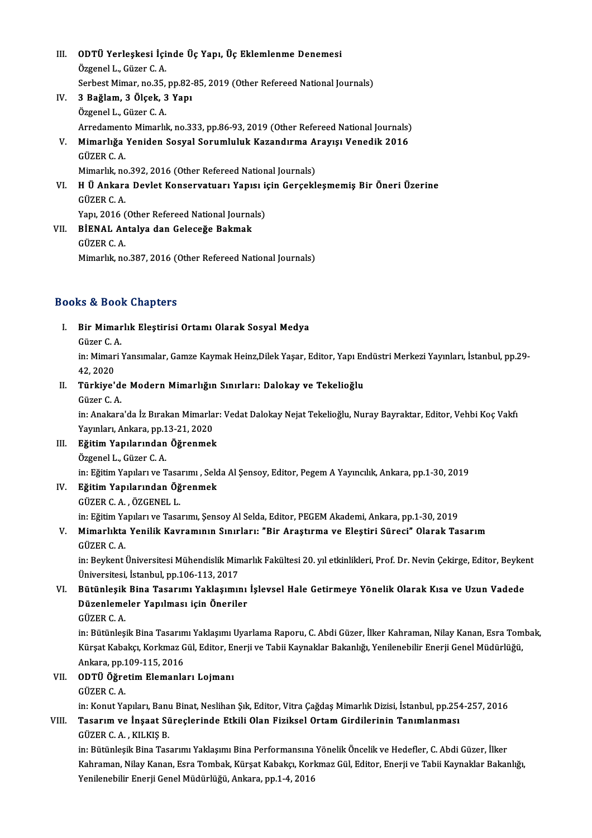- III. ODTÜ Yerleşkesi İçinde Üç Yapı, Üç Eklemlenme Denemesi<br>Özgenell, CüzenC A **ODTÜ Yerleşkesi İçi**<br>Özgenel L., Güzer C. A.<br>Serbest Mimer, ne <sup>25</sup> ODTÜ Yerleşkesi İçinde Üç Yapı, Üç Eklemlenme Denemesi<br>Özgenel L., Güzer C. A.<br>Serbest Mimar, no.35, pp.82-85, 2019 (Other Refereed National Journals)<br><sup>2. Bežlam, 2. Ölsek, 2. Ven.</sup> Özgenel L., Güzer C. A.<br>Serbest Mimar, no.35, pp.82-<br>IV. 3 Bağlam, 3 Ölçek, 3 Yapı Serbest Mimar, no.35,<br>**3 Bağlam, 3 Ölçek, 3**<br>Özgenel L., Güzer C. A.<br>Arredamante Mimarlıl Özgenel L., Güzer C. A.<br>Arredamento Mimarlık, no.333, pp.86-93, 2019 (Other Refereed National Journals) Özgenel L., Güzer C. A.<br>Arredamento Mimarlık, no.333, pp.86-93, 2019 (Other Refereed National Journals)<br>V. Mimarlığa Yeniden Sosyal Sorumluluk Kazandırma Arayışı Venedik 2016<br>Cüzer C. A Arredament<br><mark>Mimarlığa</mark><br>GÜZER C. A.<br>Mimarlık na Mimarlığa Yeniden Sosyal Sorumluluk Kazandırma A<br>GÜZER C. A.<br>Mimarlık, no.392, 2016 (Other Refereed National Journals)<br>H.Ü. Ankara Davlat Kansarvatuarı Yanısı isin Garsakl GÜZER C. A.<br>Mimarlık, no.392, 2016 (Other Refereed National Journals)<br>VI. H Ü Ankara Devlet Konservatuarı Yapısı için Gerçekleşmemiş Bir Öneri Üzerine<br>CÜZER C. A Mimarlık, no<br>H **Ü Ankara**<br>GÜZER C. A.<br>Yanı 2016 G H Ü Ankara Devlet Konservatuarı Yapısı i<br>GÜZER C. A.<br>Yapı, 2016 (Other Refereed National Journals)<br>PİENAL Antalya dan Calasağa Balymak GÜZER C. A.<br>Yapı, 2016 (Other Refereed National Journa<br>VII. BİENAL Antalya dan Geleceğe Bakmak<br>CÜZER C. A
- Yapı, 2016 (<br><mark>BİENAL An</mark><br>GÜZER C. A.<br>Mimarlık na GÜZER C. A.<br>Mimarlık, no.387, 2016 (Other Refereed National Journals)

# Books&Book Chapters

ooks & Book Chapters<br>I. Bir Mimarlık Eleştirisi Ortamı Olarak Sosyal Medya<br>Güzer C.A Extractional<br>Bir Mimar<br>Güzer C.A.

Bir Mimarlık Eleştirisi Ortamı Olarak Sosyal Medya<br>Güzer C. A.<br>in: Mimari Yansımalar, Gamze Kaymak Heinz,Dilek Yaşar, Editor, Yapı Endüstri Merkezi Yayınları, İstanbul, pp.29-Güzer C. A<br>in: Mimar<br>42, 2020<br>Türkiye' in: Mimari Yansımalar, Gamze Kaymak Heinz,Dilek Yaşar, Editor, Yapı En<br>42, 2020<br>II. Türkiye'de Modern Mimarlığın Sınırları: Dalokay ve Tekelioğlu<br>Güzer C.A 42, 2020<br><mark>Türkiye'd</mark><br>Güzer C. A.<br>in: Anakara

Güzer C. A.<br>in: Anakara'da İz Bırakan Mimarlar: Vedat Dalokay Nejat Tekelioğlu, Nuray Bayraktar, Editor, Vehbi Koç Vakfı Güzer C. A.<br>in: Anakara'da İz Bırakan Mimarla<br>Yayınları, Ankara, pp.13-21, 2020<br>Fğitim Yanılarından Öğrenmeli in: Anakara'da İz Bırakan Mimarlar<br>Yayınları, Ankara, pp.13-21, 2020<br>III. Bğitim Yapılarından Öğrenmek<br>Özgenel I. Güzen C.A

- Yayınları, Ankara, pp.1<br>**Eğitim Yapılarından**<br>Özgenel L., Güzer C. A.<br>in: Eğitim Yapıları ve T III. Eğitim Yapılarından Öğrenmek<br>Özgenel L., Güzer C. A.<br>in: Eğitim Yapıları ve Tasarımı , Selda Al Şensoy, Editor, Pegem A Yayıncılık, Ankara, pp.1-30, 2019
- IV. EğitimYapılarından Öğrenmek GÜZERC.A. ,ÖZGENEL L. in: Eğitim Yapıları ve Tasarımı, Şensoy Al Selda, Editor, PEGEM Akademi, Ankara, pp.1-30, 2019 GÜZER C. A. , ÖZGENEL L.<br>in: Eğitim Yapıları ve Tasarımı, Şensoy Al Selda, Editor, PEGEM Akademi, Ankara, pp.1-30, 2019<br>V. Mimarlıkta Yenilik Kavramının Sınırları: "Bir Araştırma ve Eleştiri Süreci" Olarak Tasarım<br>Cüze

# in: Eğitim Ya<br>Mi<mark>marlıkta</mark><br>GÜZER C. A.<br>in: Peykent l Mimarlıkta Yenilik Kavramının Sınırları: "Bir Araştırma ve Eleştiri Süreci" Olarak Tasarım<br>GÜZER C. A.<br>in: Beykent Üniversitesi Mühendislik Mimarlık Fakültesi 20. yıl etkinlikleri, Prof. Dr. Nevin Çekirge, Editor, Beykent<br>

GÜZER C. A.<br>in: Beykent Üniversitesi Mühendislik Min<br>Üniversitesi, İstanbul, pp.106-113, 2017<br>Bütünlesik Bina Tasarımı Yaklasımı in: Beykent Üniversitesi Mühendislik Mimarlık Fakültesi 20. yıl etkinlikleri, Prof. Dr. Nevin Çekirge, Editor, Beyken<br>Üniversitesi, İstanbul, pp.106-113, 2017<br>VI. Bütünleşik Bina Tasarımı Yaklaşımını İşlevsel Hale Getirmey

# Üniversitesi, İstanbul, pp.106-113, 2017<br>Bütünleşik Bina Tasarımı Yaklaşımını<br>Düzenlemeler Yapılması için Öneriler<br>CÜZEP C.A Bütünleşik<br>Düzenleme<br>GÜZER C. A.<br>in: Bütünles

Düzenlemeler Yapılması için Öneriler<br>GÜZER C. A.<br>in: Bütünleşik Bina Tasarımı Yaklaşımı Uyarlama Raporu, C. Abdi Güzer, İlker Kahraman, Nilay Kanan, Esra Tombak,<br>Kürest Kabaker Korkmar Gül, Editor, Enerii ve Tabii Kaynakla GÜZER C. A.<br>in: Bütünleşik Bina Tasarımı Yaklaşımı Uyarlama Raporu, C. Abdi Güzer, İlker Kahraman, Nilay Kanan, Esra Tom<br>Kürşat Kabakçı, Korkmaz Gül, Editor, Enerji ve Tabii Kaynaklar Bakanlığı, Yenilenebilir Enerji Genel in: Bütünleşik Bina Tasarım<br>Kürşat Kabakçı, Korkmaz G<br>Ankara, pp.109-115, 2016<br>ODTÜ Öğretim Elemanla Kürşat Kabakçı, Korkmaz Gül, Editor, Enerji ve Tabii Kaynaklar Bakanlığı, Yenilenebilir Enerji Genel Müdürlüğü,<br>Ankara, pp.109-115, 2016<br>VII. **ODTÜ Öğretim Elemanları Lojmanı**<br>GÜZER C. A. Ankara, pp 109-115, 2016

in: Konut Yapıları, Banu Binat, Neslihan Şık, Editor, Vitra Çağdaş Mimarlık Dizisi, İstanbul, pp.254-257, 2016

# GÜZER C. A.<br>in: Konut Yapıları, Banu Binat, Neslihan Şık, Editor, Vitra Çağdaş Mimarlık Dizisi, İstanbul, pp.254<br>VIII. Tasarım ve İnşaat Süreçlerinde Etkili Olan Fiziksel Ortam Girdilerinin Tanımlanması<br>CÜZER C. A. KU in: Konut Yapıları, Banı<br><mark>Tasarım ve İnşaat Sü</mark><br>GÜZER C. A. , KILKIŞ B.<br>in: Bütünlesil: Bina Tes Tasarım ve İnşaat Süreçlerinde Etkili Olan Fiziksel Ortam Girdilerinin Tanımlanması<br>GÜZER C. A. , KILKIŞ B.<br>in: Bütünleşik Bina Tasarımı Yaklaşımı Bina Performansına Yönelik Öncelik ve Hedefler, C. Abdi Güzer, İlker<br>Kahnam

GÜZER C. A. , KILKIŞ B.<br>in: Bütünleşik Bina Tasarımı Yaklaşımı Bina Performansına Yönelik Öncelik ve Hedefler, C. Abdi Güzer, İlker<br>Kahraman, Nilay Kanan, Esra Tombak, Kürşat Kabakçı, Korkmaz Gül, Editor, Enerji ve Tabii K in: Bütünleşik Bina Tasarımı Yaklaşımı Bina Performansına<br>Kahraman, Nilay Kanan, Esra Tombak, Kürşat Kabakçı, Korl<br>Yenilenebilir Enerji Genel Müdürlüğü, Ankara, pp.1-4, 2016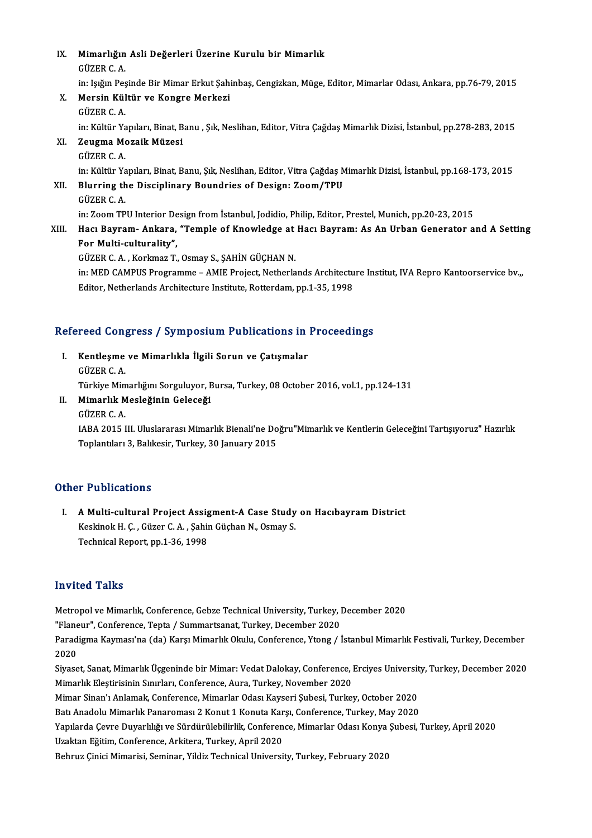- IX. Mimarlığın Asli Değerleri Üzerine Kurulu bir Mimarlık Mimarlığın<br>GÜZER C. A.<br>in: Jağın Pes GÜZER C. A.<br>in: Işığın Pesinde Bir Mimar Erkut Sahinbaş, Cengizkan, Müge, Editor, Mimarlar Odası, Ankara, pp.76-79, 2015 GÜZER C. A.<br>in: Işığın Peşinde Bir Mimar Erkut Şah:<br>X. Mersin Kültür ve Kongre Merkezi in: Işığın Peş<br>**Mersin Kül**<br>GÜZER C. A.<br>in: Kültür Va GÜZER C. A.<br>in: Kültür Yapıları, Binat, Banu , Şık, Neslihan, Editor, Vitra Çağdaş Mimarlık Dizisi, İstanbul, pp.278-283, 2015 GÜZER C. A.<br>in: Kültür Yapıları, Binat, B<br>XI. Zeugma Mozaik Müzesi in: Kültür Ya<br><mark>Zeugma Mo</mark><br>GÜZER C. A.<br>in: Kültür Yo Zeugma Mozaik Müzesi<br>GÜZER C. A.<br>in: Kültür Yapıları, Binat, Banu, Şık, Neslihan, Editor, Vitra Çağdaş Mimarlık Dizisi, İstanbul, pp.168-173, 2015<br>Blunning the Disciplinary Boundries of Design: Zeem (TPU
	-

GÜZER C. A.<br>in: Kültür Yapıları, Binat, Banu, Şık, Neslihan, Editor, Vitra Çağdaş M.<br>XII. Blurring the Disciplinary Boundries of Design: Zoom/TPU<br>GÜZER C. A. in: Kültür Ya<br><mark>Blurring th</mark><br>GÜZER C. A.<br>in: Zoom TP

in: Zoom TPU Interior Design from İstanbul, Jodidio, Philip, Editor, Prestel, Munich, pp.20-23, 2015 XIII. Hacı Bayram- Ankara, "Temple of Knowledge at Hacı Bayram: As An Urban Generator and A Setting

## For Multi-culturality", GÜZER C.A., Korkmaz T., Osmay S., ŞAHİN GÜÇHAN N.

For Multi-culturality",<br>GÜZER C. A. , Korkmaz T., Osmay S., ŞAHİN GÜÇHAN N.<br>in: MED CAMPUS Programme – AMIE Project, Netherlands Architecture Institut, IVA Repro Kantoorservice bv.,,<br>Editor Netherlands Architecture Institu GÜZER C. A. , Korkmaz T., Osmay S., ŞAHİN GÜÇHAN N.<br>in: MED CAMPUS Programme – AMIE Project, Netherlands Architectu<br>Editor, Netherlands Architecture Institute, Rotterdam, pp.1-35, 1998

# editor, Netherlands Architecture Institute, Rotterdam, pp.1-35, 1998<br>Refereed Congress / Symposium Publications in Proceedings

efereed Congress / Symposium Publications in<br>I. Kentleşme ve Mimarlıkla İlgili Sorun ve Çatışmalar I. Kentleşme ve Mimarlıkla İlgili Sorun ve Çatışmalar<br>GÜZER C. A. Kentleşme ve Mimarlıkla İlgili Sorun ve Çatışmalar<br>GÜZER C. A.<br>Türkiye Mimarlığını Sorguluyor, Bursa, Turkey, 08 October 2016, vol.1, pp.124-131<br>Mimarlık Mesleğinin Celeseği II. Mimarlık Mesleğinin Geleceği<br>GÜZER C. A. Türkiye Mi<mark>n</mark><br>**Mimarlık M**<br>GÜZER C. A.<br>14RA 2015 I

Mimarlık Mesleğinin Geleceği<br>GÜZER C. A.<br>IABA 2015 III. Uluslararası Mimarlık Bienali'ne Doğru"Mimarlık ve Kentlerin Geleceğini Tartışıyoruz" Hazırlık<br>Tanlantıları 3. Balıkesin Turkey, 30 January 2015 GÜZER C. A.<br>IABA 2015 III. Uluslararası Mimarlık Bienali'ne Do<br>Toplantıları 3, Balıkesir, Turkey, 30 January 2015 Toplantıları 3, Balıkesir, Turkey, 30 January 2015<br>Other Publications

I. A Multi-cultural Project Assigment-A Case Study on Hacıbayram District Y Y WENCREGONS<br>A Multi-cultural Project Assigment-A Case Study<br>Keskinok H. Ç. , Güzer C. A. , Şahin Güçhan N., Osmay S.<br>Teshnisal Benert, nn 1,26, 1999 A Multi-cultural Project Assig<br>Keskinok H. Ç. , Güzer C. A. , Şahiı<br>Technical Report, pp.1-36, 1998 Technical Report, pp.1-36, 1998<br>Invited Talks

Metropol ve Mimarlık, Conference, Gebze Technical University, Turkey, December 2020 merence Famo<br>"Metropol ve Mimarlık, Conference, Gebze Technical University, Turkey, I<br>"Flaneur", Conference, Tepta / Summartsanat, Turkey, December 2020<br>Peredisma Kauması'na (da) Karsı Mimarlık Olallı, Conferense Ytans / İ Paradigma Kayması'na (da) Karşı Mimarlık Okulu, Conference, Ytong / İstanbul Mimarlık Festivali, Turkey, December<br>2020 "Flane<br>Parad<br>2020<br>Sivese Paradigma Kayması'na (da) Karşı Mimarlık Okulu, Conference, Ytong / İstanbul Mimarlık Festivali, Turkey, December<br>2020<br>Siyaset, Sanat, Mimarlık Üçgeninde bir Mimar: Vedat Dalokay, Conference, Erciyes University, Turkey, De 2020<br>Siyaset, Sanat, Mimarlık Üçgeninde bir Mimar: Vedat Dalokay, Conference, I<br>Mimarlık Eleştirisinin Sınırları, Conference, Aura, Turkey, November 2020<br>Mimar Sinan'ı Anlamak, Conference, Mimarlar Odası Kaysari Subesi, Tu Siyaset, Sanat, Mimarlık Üçgeninde bir Mimar: Vedat Dalokay, Conference, Erciyes Universit<br>Mimarlık Eleştirisinin Sınırları, Conference, Aura, Turkey, November 2020<br>Mimar Sinan'ı Anlamak, Conference, Mimarlar Odası Kayseri Mimarlık Eleştirisinin Sınırları, Conference, Aura, Turkey, November 2020<br>Mimar Sinan'ı Anlamak, Conference, Mimarlar Odası Kayseri Şubesi, Turkey, October 2020<br>Batı Anadolu Mimarlık Panaroması 2 Konut 1 Konuta Karşı, Conf Mimar Sinan'ı Anlamak, Conference, Mimarlar Odası Kayseri Şubesi, Turkey, October 2020<br>Batı Anadolu Mimarlık Panaroması 2 Konut 1 Konuta Karşı, Conference, Turkey, May 2020<br>Yapılarda Çevre Duyarlılığı ve Sürdürülebilirlik, Batı Anadolu Mimarlık Panaroması 2 Konut 1 Konuta Kar<br>Yapılarda Çevre Duyarlılığı ve Sürdürülebilirlik, Conferen<br>Uzaktan Eğitim, Conference, Arkitera, Turkey, April 2020<br>Behruz Cinisi Mimarisi, Seminar, Vildiz Technical Un Behruz Çinici Mimarisi, Seminar, Yildiz Technical University, Turkey, February 2020